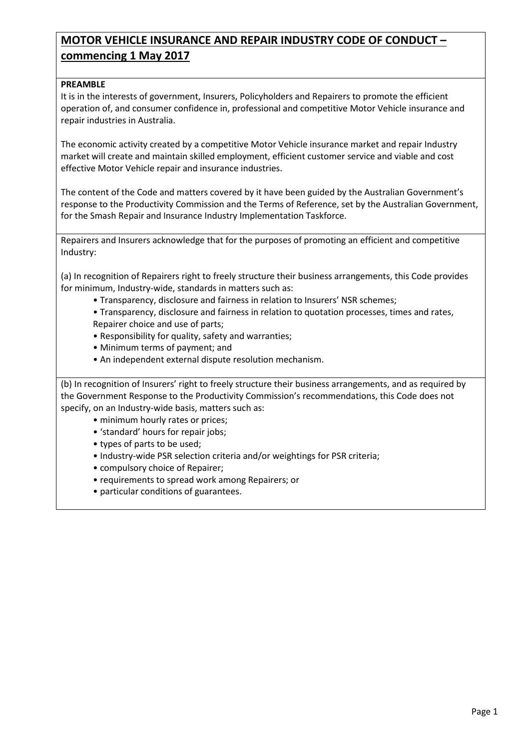# **MOTOR VEHICLE INSURANCE AND REPAIR INDUSTRY CODE OF CONDUCT – commencing 1 May 2017**

## **PREAMBLE**

It is in the interests of government, Insurers, Policyholders and Repairers to promote the efficient operation of, and consumer confidence in, professional and competitive Motor Vehicle insurance and repair industries in Australia.

The economic activity created by a competitive Motor Vehicle insurance market and repair Industry market will create and maintain skilled employment, efficient customer service and viable and cost effective Motor Vehicle repair and insurance industries.

The content of the Code and matters covered by it have been guided by the Australian Government's response to the Productivity Commission and the Terms of Reference, set by the Australian Government, for the Smash Repair and Insurance Industry Implementation Taskforce.

Repairers and Insurers acknowledge that for the purposes of promoting an efficient and competitive Industry:

(a) In recognition of Repairers right to freely structure their business arrangements, this Code provides for minimum, Industry-wide, standards in matters such as:

- Transparency, disclosure and fairness in relation to Insurers' NSR schemes;
- Transparency, disclosure and fairness in relation to quotation processes, times and rates, Repairer choice and use of parts;
- Responsibility for quality, safety and warranties;
- Minimum terms of payment; and
- An independent external dispute resolution mechanism.

(b) In recognition of Insurers' right to freely structure their business arrangements, and as required by the Government Response to the Productivity Commission's recommendations, this Code does not specify, on an Industry-wide basis, matters such as:

- minimum hourly rates or prices;
- 'standard' hours for repair jobs;
- types of parts to be used;
- Industry-wide PSR selection criteria and/or weightings for PSR criteria;
- compulsory choice of Repairer;
- requirements to spread work among Repairers; or
- particular conditions of guarantees.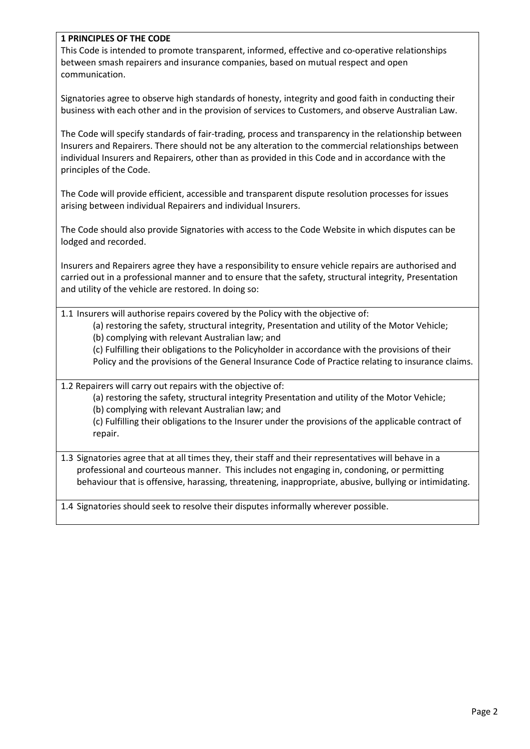## **1 PRINCIPLES OF THE CODE**

This Code is intended to promote transparent, informed, effective and co-operative relationships between smash repairers and insurance companies, based on mutual respect and open communication.

Signatories agree to observe high standards of honesty, integrity and good faith in conducting their business with each other and in the provision of services to Customers, and observe Australian Law.

The Code will specify standards of fair-trading, process and transparency in the relationship between Insurers and Repairers. There should not be any alteration to the commercial relationships between individual Insurers and Repairers, other than as provided in this Code and in accordance with the principles of the Code.

The Code will provide efficient, accessible and transparent dispute resolution processes for issues arising between individual Repairers and individual Insurers.

The Code should also provide Signatories with access to the Code Website in which disputes can be lodged and recorded.

Insurers and Repairers agree they have a responsibility to ensure vehicle repairs are authorised and carried out in a professional manner and to ensure that the safety, structural integrity, Presentation and utility of the vehicle are restored. In doing so:

1.1 Insurers will authorise repairs covered by the Policy with the objective of:

(a) restoring the safety, structural integrity, Presentation and utility of the Motor Vehicle; (b) complying with relevant Australian law; and

(c) Fulfilling their obligations to the Policyholder in accordance with the provisions of their Policy and the provisions of the General Insurance Code of Practice relating to insurance claims.

1.2 Repairers will carry out repairs with the objective of:

(a) restoring the safety, structural integrity Presentation and utility of the Motor Vehicle; (b) complying with relevant Australian law; and

(c) Fulfilling their obligations to the Insurer under the provisions of the applicable contract of repair.

1.3 Signatories agree that at all times they, their staff and their representatives will behave in a professional and courteous manner. This includes not engaging in, condoning, or permitting behaviour that is offensive, harassing, threatening, inappropriate, abusive, bullying or intimidating.

1.4 Signatories should seek to resolve their disputes informally wherever possible.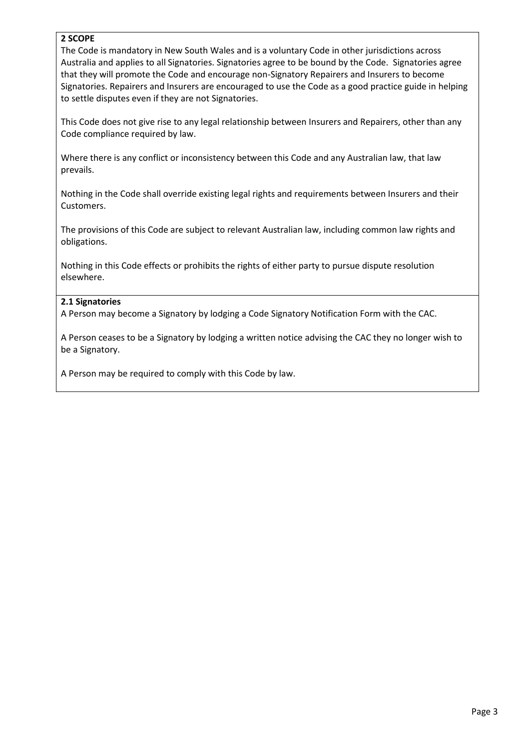### **2 SCOPE**

The Code is mandatory in New South Wales and is a voluntary Code in other jurisdictions across Australia and applies to all Signatories. Signatories agree to be bound by the Code. Signatories agree that they will promote the Code and encourage non-Signatory Repairers and Insurers to become Signatories. Repairers and Insurers are encouraged to use the Code as a good practice guide in helping to settle disputes even if they are not Signatories.

This Code does not give rise to any legal relationship between Insurers and Repairers, other than any Code compliance required by law.

Where there is any conflict or inconsistency between this Code and any Australian law, that law prevails.

Nothing in the Code shall override existing legal rights and requirements between Insurers and their Customers.

The provisions of this Code are subject to relevant Australian law, including common law rights and obligations.

Nothing in this Code effects or prohibits the rights of either party to pursue dispute resolution elsewhere.

#### **2.1 Signatories**

A Person may become a Signatory by lodging a Code Signatory Notification Form with the CAC.

A Person ceases to be a Signatory by lodging a written notice advising the CAC they no longer wish to be a Signatory.

A Person may be required to comply with this Code by law.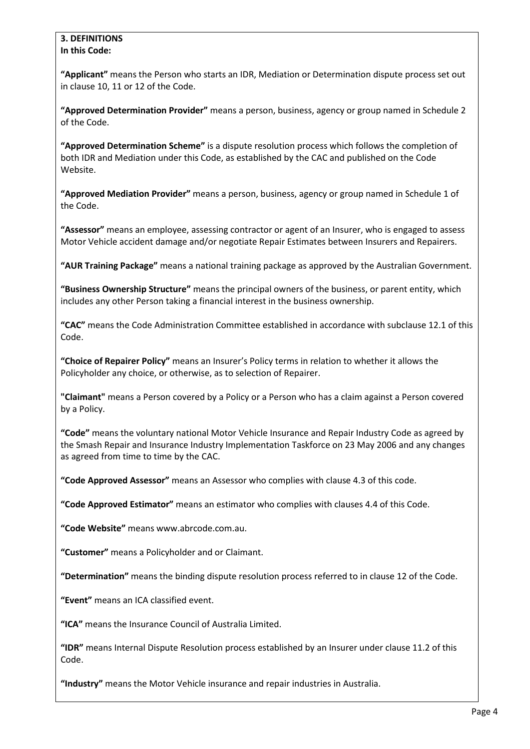#### **3. DEFINITIONS In this Code:**

**"Applicant"** means the Person who starts an IDR, Mediation or Determination dispute process set out in clause 10, 11 or 12 of the Code.

**"Approved Determination Provider"** means a person, business, agency or group named in Schedule 2 of the Code.

**"Approved Determination Scheme"** is a dispute resolution process which follows the completion of both IDR and Mediation under this Code, as established by the CAC and published on the Code Website.

**"Approved Mediation Provider"** means a person, business, agency or group named in Schedule 1 of the Code.

**"Assessor"** means an employee, assessing contractor or agent of an Insurer, who is engaged to assess Motor Vehicle accident damage and/or negotiate Repair Estimates between Insurers and Repairers.

**"AUR Training Package"** means a national training package as approved by the Australian Government.

**"Business Ownership Structure"** means the principal owners of the business, or parent entity, which includes any other Person taking a financial interest in the business ownership.

**"CAC"** means the Code Administration Committee established in accordance with subclause 12.1 of this Code.

**"Choice of Repairer Policy"** means an Insurer's Policy terms in relation to whether it allows the Policyholder any choice, or otherwise, as to selection of Repairer.

**"Claimant"** means a Person covered by a Policy or a Person who has a claim against a Person covered by a Policy.

**"Code"** means the voluntary national Motor Vehicle Insurance and Repair Industry Code as agreed by the Smash Repair and Insurance Industry Implementation Taskforce on 23 May 2006 and any changes as agreed from time to time by the CAC.

**"Code Approved Assessor"** means an Assessor who complies with clause 4.3 of this code.

**"Code Approved Estimator"** means an estimator who complies with clauses 4.4 of this Code.

**"Code Website"** means www.abrcode.com.au.

**"Customer"** means a Policyholder and or Claimant.

**"Determination"** means the binding dispute resolution process referred to in clause 12 of the Code.

**"Event"** means an ICA classified event.

**"ICA"** means the Insurance Council of Australia Limited.

**"IDR"** means Internal Dispute Resolution process established by an Insurer under clause 11.2 of this Code.

**"Industry"** means the Motor Vehicle insurance and repair industries in Australia.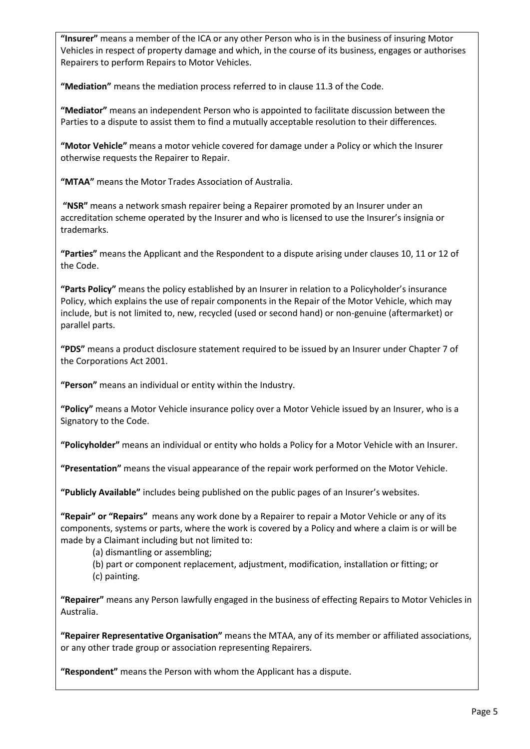**"Insurer"** means a member of the ICA or any other Person who is in the business of insuring Motor Vehicles in respect of property damage and which, in the course of its business, engages or authorises Repairers to perform Repairs to Motor Vehicles.

**"Mediation"** means the mediation process referred to in clause 11.3 of the Code.

**"Mediator"** means an independent Person who is appointed to facilitate discussion between the Parties to a dispute to assist them to find a mutually acceptable resolution to their differences.

**"Motor Vehicle"** means a motor vehicle covered for damage under a Policy or which the Insurer otherwise requests the Repairer to Repair.

**"MTAA"** means the Motor Trades Association of Australia.

**"NSR"** means a network smash repairer being a Repairer promoted by an Insurer under an accreditation scheme operated by the Insurer and who is licensed to use the Insurer's insignia or trademarks.

**"Parties"** means the Applicant and the Respondent to a dispute arising under clauses 10, 11 or 12 of the Code.

**"Parts Policy"** means the policy established by an Insurer in relation to a Policyholder's insurance Policy, which explains the use of repair components in the Repair of the Motor Vehicle, which may include, but is not limited to, new, recycled (used or second hand) or non-genuine (aftermarket) or parallel parts.

**"PDS"** means a product disclosure statement required to be issued by an Insurer under Chapter 7 of the Corporations Act 2001.

**"Person"** means an individual or entity within the Industry.

**"Policy"** means a Motor Vehicle insurance policy over a Motor Vehicle issued by an Insurer, who is a Signatory to the Code.

**"Policyholder"** means an individual or entity who holds a Policy for a Motor Vehicle with an Insurer.

**"Presentation"** means the visual appearance of the repair work performed on the Motor Vehicle.

**"Publicly Available"** includes being published on the public pages of an Insurer's websites.

**"Repair" or "Repairs"** means any work done by a Repairer to repair a Motor Vehicle or any of its components, systems or parts, where the work is covered by a Policy and where a claim is or will be made by a Claimant including but not limited to:

(a) dismantling or assembling;

(b) part or component replacement, adjustment, modification, installation or fitting; or (c) painting.

**"Repairer"** means any Person lawfully engaged in the business of effecting Repairs to Motor Vehicles in Australia.

**"Repairer Representative Organisation"** means the MTAA, any of its member or affiliated associations, or any other trade group or association representing Repairers.

**"Respondent"** means the Person with whom the Applicant has a dispute.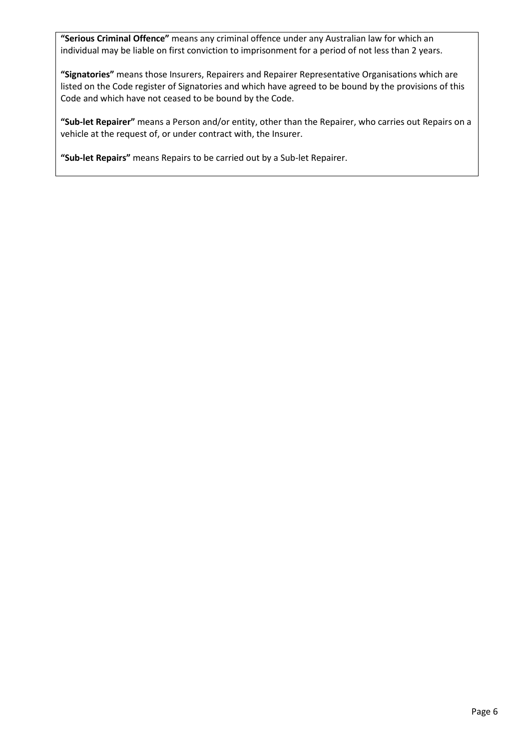**"Serious Criminal Offence"** means any criminal offence under any Australian law for which an individual may be liable on first conviction to imprisonment for a period of not less than 2 years.

**"Signatories"** means those Insurers, Repairers and Repairer Representative Organisations which are listed on the Code register of Signatories and which have agreed to be bound by the provisions of this Code and which have not ceased to be bound by the Code.

**"Sub-let Repairer"** means a Person and/or entity, other than the Repairer, who carries out Repairs on a vehicle at the request of, or under contract with, the Insurer.

**"Sub-let Repairs"** means Repairs to be carried out by a Sub-let Repairer.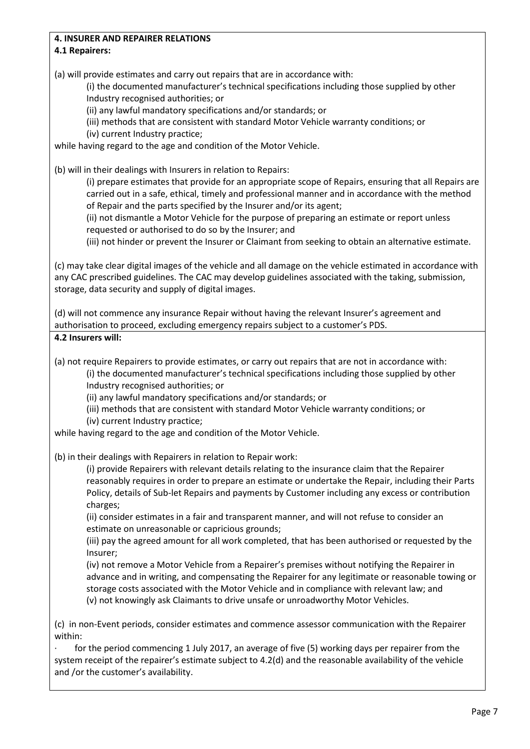## **4. INSURER AND REPAIRER RELATIONS**

## **4.1 Repairers:**

(a) will provide estimates and carry out repairs that are in accordance with:

(i) the documented manufacturer's technical specifications including those supplied by other Industry recognised authorities; or

(ii) any lawful mandatory specifications and/or standards; or

(iii) methods that are consistent with standard Motor Vehicle warranty conditions; or

(iv) current Industry practice;

while having regard to the age and condition of the Motor Vehicle.

(b) will in their dealings with Insurers in relation to Repairs:

(i) prepare estimates that provide for an appropriate scope of Repairs, ensuring that all Repairs are carried out in a safe, ethical, timely and professional manner and in accordance with the method of Repair and the parts specified by the Insurer and/or its agent;

(ii) not dismantle a Motor Vehicle for the purpose of preparing an estimate or report unless requested or authorised to do so by the Insurer; and

(iii) not hinder or prevent the Insurer or Claimant from seeking to obtain an alternative estimate.

(c) may take clear digital images of the vehicle and all damage on the vehicle estimated in accordance with any CAC prescribed guidelines. The CAC may develop guidelines associated with the taking, submission, storage, data security and supply of digital images.

(d) will not commence any insurance Repair without having the relevant Insurer's agreement and authorisation to proceed, excluding emergency repairs subject to a customer's PDS.

**4.2 Insurers will:**

(a) not require Repairers to provide estimates, or carry out repairs that are not in accordance with:

(i) the documented manufacturer's technical specifications including those supplied by other Industry recognised authorities; or

(ii) any lawful mandatory specifications and/or standards; or

(iii) methods that are consistent with standard Motor Vehicle warranty conditions; or

(iv) current Industry practice;

while having regard to the age and condition of the Motor Vehicle.

(b) in their dealings with Repairers in relation to Repair work:

(i) provide Repairers with relevant details relating to the insurance claim that the Repairer reasonably requires in order to prepare an estimate or undertake the Repair, including their Parts Policy, details of Sub-let Repairs and payments by Customer including any excess or contribution charges;

(ii) consider estimates in a fair and transparent manner, and will not refuse to consider an estimate on unreasonable or capricious grounds;

(iii) pay the agreed amount for all work completed, that has been authorised or requested by the Insurer;

(iv) not remove a Motor Vehicle from a Repairer's premises without notifying the Repairer in advance and in writing, and compensating the Repairer for any legitimate or reasonable towing or storage costs associated with the Motor Vehicle and in compliance with relevant law; and (v) not knowingly ask Claimants to drive unsafe or unroadworthy Motor Vehicles.

(c) in non-Event periods, consider estimates and commence assessor communication with the Repairer within:

for the period commencing 1 July 2017, an average of five (5) working days per repairer from the system receipt of the repairer's estimate subject to 4.2(d) and the reasonable availability of the vehicle and /or the customer's availability.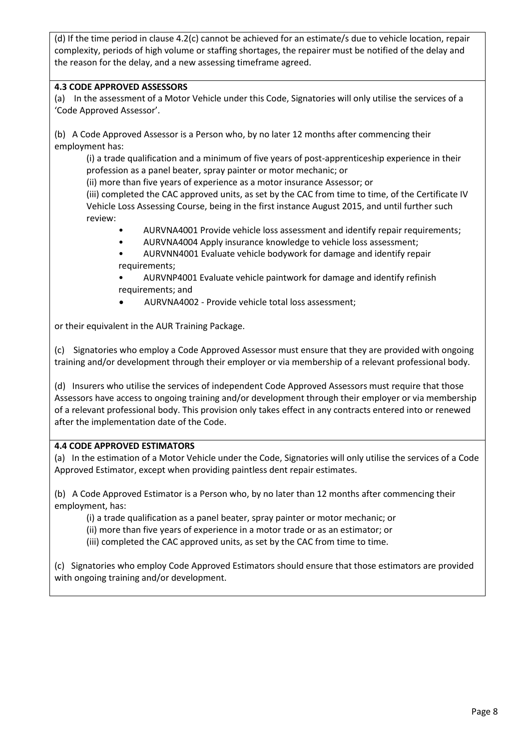(d) If the time period in clause 4.2(c) cannot be achieved for an estimate/s due to vehicle location, repair complexity, periods of high volume or staffing shortages, the repairer must be notified of the delay and the reason for the delay, and a new assessing timeframe agreed.

## **4.3 CODE APPROVED ASSESSORS**

(a) In the assessment of a Motor Vehicle under this Code, Signatories will only utilise the services of a 'Code Approved Assessor'.

(b) A Code Approved Assessor is a Person who, by no later 12 months after commencing their employment has:

(i) a trade qualification and a minimum of five years of post-apprenticeship experience in their profession as a panel beater, spray painter or motor mechanic; or

(ii) more than five years of experience as a motor insurance Assessor; or

(iii) completed the CAC approved units, as set by the CAC from time to time, of the Certificate IV Vehicle Loss Assessing Course, being in the first instance August 2015, and until further such review:

- AURVNA4001 Provide vehicle loss assessment and identify repair requirements;
- AURVNA4004 Apply insurance knowledge to vehicle loss assessment;

• AURVNN4001 Evaluate vehicle bodywork for damage and identify repair requirements;

• AURVNP4001 Evaluate vehicle paintwork for damage and identify refinish requirements; and

AURVNA4002 - Provide vehicle total loss assessment;

or their equivalent in the AUR Training Package.

(c) Signatories who employ a Code Approved Assessor must ensure that they are provided with ongoing training and/or development through their employer or via membership of a relevant professional body.

(d) Insurers who utilise the services of independent Code Approved Assessors must require that those Assessors have access to ongoing training and/or development through their employer or via membership of a relevant professional body. This provision only takes effect in any contracts entered into or renewed after the implementation date of the Code.

#### **4.4 CODE APPROVED ESTIMATORS**

(a) In the estimation of a Motor Vehicle under the Code, Signatories will only utilise the services of a Code Approved Estimator, except when providing paintless dent repair estimates.

(b) A Code Approved Estimator is a Person who, by no later than 12 months after commencing their employment, has:

- (i) a trade qualification as a panel beater, spray painter or motor mechanic; or
- (ii) more than five years of experience in a motor trade or as an estimator; or
- (iii) completed the CAC approved units, as set by the CAC from time to time.

(c) Signatories who employ Code Approved Estimators should ensure that those estimators are provided with ongoing training and/or development.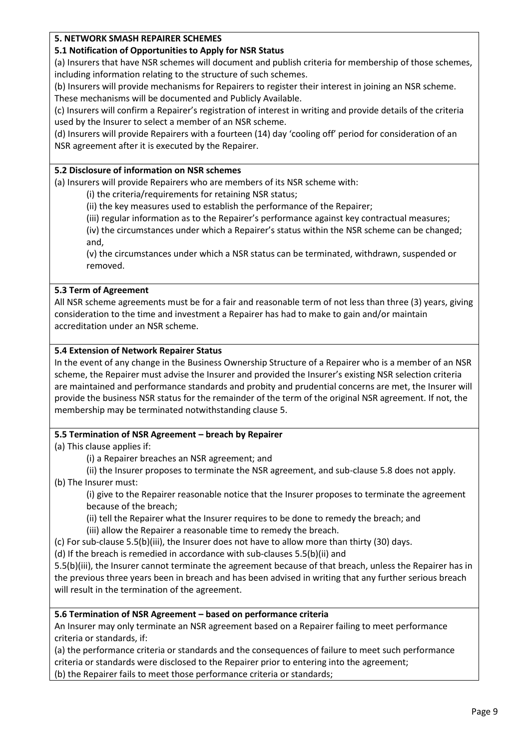## **5. NETWORK SMASH REPAIRER SCHEMES**

#### **5.1 Notification of Opportunities to Apply for NSR Status**

(a) Insurers that have NSR schemes will document and publish criteria for membership of those schemes, including information relating to the structure of such schemes.

(b) Insurers will provide mechanisms for Repairers to register their interest in joining an NSR scheme. These mechanisms will be documented and Publicly Available.

(c) Insurers will confirm a Repairer's registration of interest in writing and provide details of the criteria used by the Insurer to select a member of an NSR scheme.

(d) Insurers will provide Repairers with a fourteen (14) day 'cooling off' period for consideration of an NSR agreement after it is executed by the Repairer.

#### **5.2 Disclosure of information on NSR schemes**

(a) Insurers will provide Repairers who are members of its NSR scheme with:

(i) the criteria/requirements for retaining NSR status;

(ii) the key measures used to establish the performance of the Repairer;

(iii) regular information as to the Repairer's performance against key contractual measures;

(iv) the circumstances under which a Repairer's status within the NSR scheme can be changed; and,

(v) the circumstances under which a NSR status can be terminated, withdrawn, suspended or removed.

## **5.3 Term of Agreement**

All NSR scheme agreements must be for a fair and reasonable term of not less than three (3) years, giving consideration to the time and investment a Repairer has had to make to gain and/or maintain accreditation under an NSR scheme.

#### **5.4 Extension of Network Repairer Status**

In the event of any change in the Business Ownership Structure of a Repairer who is a member of an NSR scheme, the Repairer must advise the Insurer and provided the Insurer's existing NSR selection criteria are maintained and performance standards and probity and prudential concerns are met, the Insurer will provide the business NSR status for the remainder of the term of the original NSR agreement. If not, the membership may be terminated notwithstanding clause 5.

## **5.5 Termination of NSR Agreement – breach by Repairer**

(a) This clause applies if:

(i) a Repairer breaches an NSR agreement; and

(ii) the Insurer proposes to terminate the NSR agreement, and sub-clause 5.8 does not apply.

(b) The Insurer must:

(i) give to the Repairer reasonable notice that the Insurer proposes to terminate the agreement because of the breach;

(ii) tell the Repairer what the Insurer requires to be done to remedy the breach; and

(iii) allow the Repairer a reasonable time to remedy the breach.

(c) For sub-clause 5.5(b)(iii), the Insurer does not have to allow more than thirty (30) days.

(d) If the breach is remedied in accordance with sub-clauses 5.5(b)(ii) and

5.5(b)(iii), the Insurer cannot terminate the agreement because of that breach, unless the Repairer has in the previous three years been in breach and has been advised in writing that any further serious breach will result in the termination of the agreement.

## **5.6 Termination of NSR Agreement – based on performance criteria**

An Insurer may only terminate an NSR agreement based on a Repairer failing to meet performance criteria or standards, if:

(a) the performance criteria or standards and the consequences of failure to meet such performance criteria or standards were disclosed to the Repairer prior to entering into the agreement;

(b) the Repairer fails to meet those performance criteria or standards;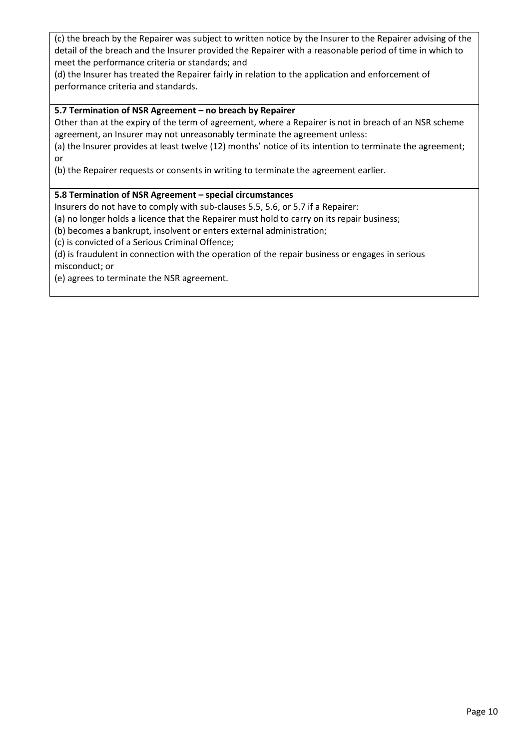(c) the breach by the Repairer was subject to written notice by the Insurer to the Repairer advising of the detail of the breach and the Insurer provided the Repairer with a reasonable period of time in which to meet the performance criteria or standards; and

(d) the Insurer has treated the Repairer fairly in relation to the application and enforcement of performance criteria and standards.

## **5.7 Termination of NSR Agreement – no breach by Repairer**

Other than at the expiry of the term of agreement, where a Repairer is not in breach of an NSR scheme agreement, an Insurer may not unreasonably terminate the agreement unless:

(a) the Insurer provides at least twelve (12) months' notice of its intention to terminate the agreement; or

(b) the Repairer requests or consents in writing to terminate the agreement earlier.

## **5.8 Termination of NSR Agreement – special circumstances**

Insurers do not have to comply with sub-clauses 5.5, 5.6, or 5.7 if a Repairer:

(a) no longer holds a licence that the Repairer must hold to carry on its repair business;

(b) becomes a bankrupt, insolvent or enters external administration;

(c) is convicted of a Serious Criminal Offence;

(d) is fraudulent in connection with the operation of the repair business or engages in serious misconduct; or

(e) agrees to terminate the NSR agreement.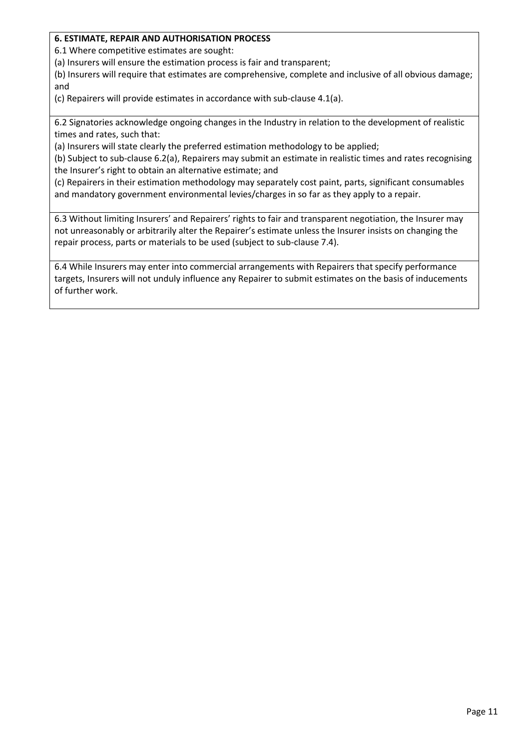## **6. ESTIMATE, REPAIR AND AUTHORISATION PROCESS**

6.1 Where competitive estimates are sought:

(a) Insurers will ensure the estimation process is fair and transparent;

(b) Insurers will require that estimates are comprehensive, complete and inclusive of all obvious damage; and

(c) Repairers will provide estimates in accordance with sub-clause 4.1(a).

6.2 Signatories acknowledge ongoing changes in the Industry in relation to the development of realistic times and rates, such that:

(a) Insurers will state clearly the preferred estimation methodology to be applied;

(b) Subject to sub-clause 6.2(a), Repairers may submit an estimate in realistic times and rates recognising the Insurer's right to obtain an alternative estimate; and

(c) Repairers in their estimation methodology may separately cost paint, parts, significant consumables and mandatory government environmental levies/charges in so far as they apply to a repair.

6.3 Without limiting Insurers' and Repairers' rights to fair and transparent negotiation, the Insurer may not unreasonably or arbitrarily alter the Repairer's estimate unless the Insurer insists on changing the repair process, parts or materials to be used (subject to sub-clause 7.4).

6.4 While Insurers may enter into commercial arrangements with Repairers that specify performance targets, Insurers will not unduly influence any Repairer to submit estimates on the basis of inducements of further work.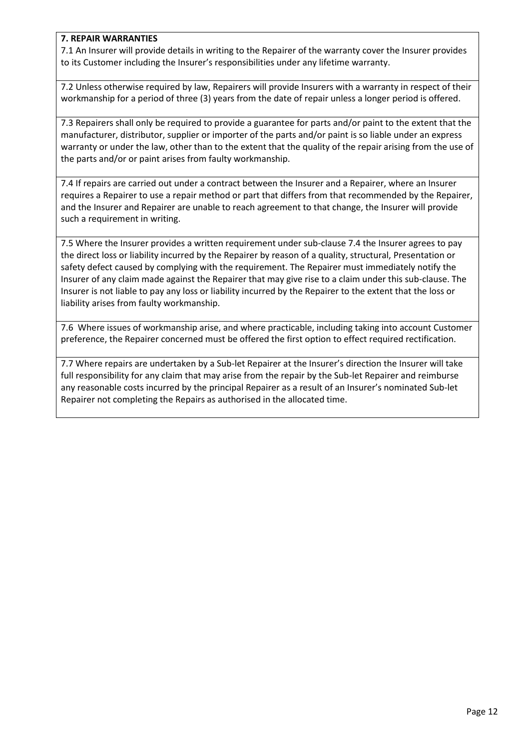### **7. REPAIR WARRANTIES**

7.1 An Insurer will provide details in writing to the Repairer of the warranty cover the Insurer provides to its Customer including the Insurer's responsibilities under any lifetime warranty.

7.2 Unless otherwise required by law, Repairers will provide Insurers with a warranty in respect of their workmanship for a period of three (3) years from the date of repair unless a longer period is offered.

7.3 Repairers shall only be required to provide a guarantee for parts and/or paint to the extent that the manufacturer, distributor, supplier or importer of the parts and/or paint is so liable under an express warranty or under the law, other than to the extent that the quality of the repair arising from the use of the parts and/or or paint arises from faulty workmanship.

7.4 If repairs are carried out under a contract between the Insurer and a Repairer, where an Insurer requires a Repairer to use a repair method or part that differs from that recommended by the Repairer, and the Insurer and Repairer are unable to reach agreement to that change, the Insurer will provide such a requirement in writing.

7.5 Where the Insurer provides a written requirement under sub-clause 7.4 the Insurer agrees to pay the direct loss or liability incurred by the Repairer by reason of a quality, structural, Presentation or safety defect caused by complying with the requirement. The Repairer must immediately notify the Insurer of any claim made against the Repairer that may give rise to a claim under this sub-clause. The Insurer is not liable to pay any loss or liability incurred by the Repairer to the extent that the loss or liability arises from faulty workmanship.

7.6 Where issues of workmanship arise, and where practicable, including taking into account Customer preference, the Repairer concerned must be offered the first option to effect required rectification.

7.7 Where repairs are undertaken by a Sub-let Repairer at the Insurer's direction the Insurer will take full responsibility for any claim that may arise from the repair by the Sub-let Repairer and reimburse any reasonable costs incurred by the principal Repairer as a result of an Insurer's nominated Sub-let Repairer not completing the Repairs as authorised in the allocated time.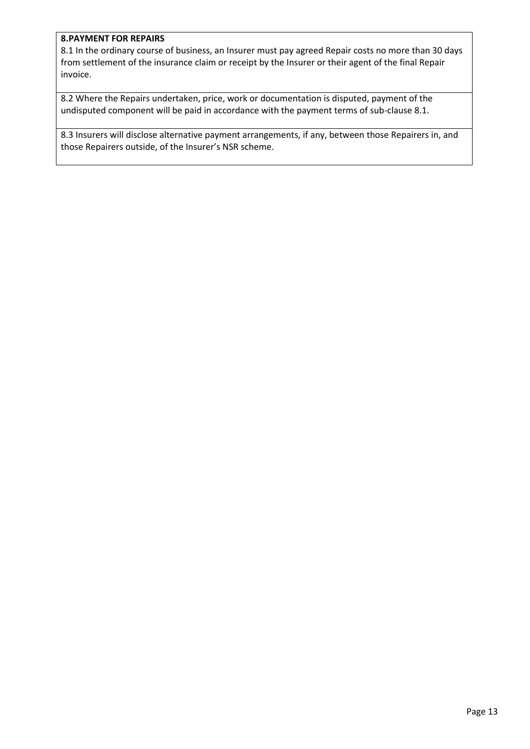#### **8.PAYMENT FOR REPAIRS**

8.1 In the ordinary course of business, an Insurer must pay agreed Repair costs no more than 30 days from settlement of the insurance claim or receipt by the Insurer or their agent of the final Repair invoice.

8.2 Where the Repairs undertaken, price, work or documentation is disputed, payment of the undisputed component will be paid in accordance with the payment terms of sub-clause 8.1.

8.3 Insurers will disclose alternative payment arrangements, if any, between those Repairers in, and those Repairers outside, of the Insurer's NSR scheme.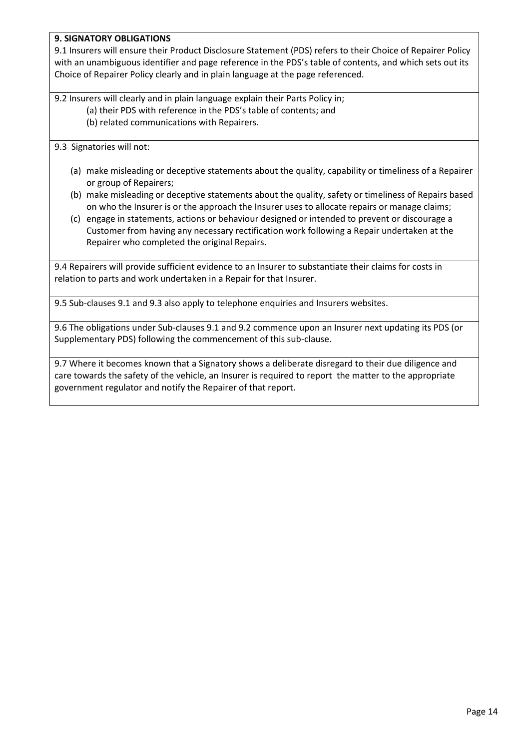## **9. SIGNATORY OBLIGATIONS**

9.1 Insurers will ensure their Product Disclosure Statement (PDS) refers to their Choice of Repairer Policy with an unambiguous identifier and page reference in the PDS's table of contents, and which sets out its Choice of Repairer Policy clearly and in plain language at the page referenced.

9.2 Insurers will clearly and in plain language explain their Parts Policy in; (a) their PDS with reference in the PDS's table of contents; and (b) related communications with Repairers.

9.3 Signatories will not:

- (a) make misleading or deceptive statements about the quality, capability or timeliness of a Repairer or group of Repairers;
- (b) make misleading or deceptive statements about the quality, safety or timeliness of Repairs based on who the Insurer is or the approach the Insurer uses to allocate repairs or manage claims;
- (c) engage in statements, actions or behaviour designed or intended to prevent or discourage a Customer from having any necessary rectification work following a Repair undertaken at the Repairer who completed the original Repairs.

9.4 Repairers will provide sufficient evidence to an Insurer to substantiate their claims for costs in relation to parts and work undertaken in a Repair for that Insurer.

9.5 Sub-clauses 9.1 and 9.3 also apply to telephone enquiries and Insurers websites.

9.6 The obligations under Sub-clauses 9.1 and 9.2 commence upon an Insurer next updating its PDS (or Supplementary PDS) following the commencement of this sub-clause.

9.7 Where it becomes known that a Signatory shows a deliberate disregard to their due diligence and care towards the safety of the vehicle, an Insurer is required to report the matter to the appropriate government regulator and notify the Repairer of that report.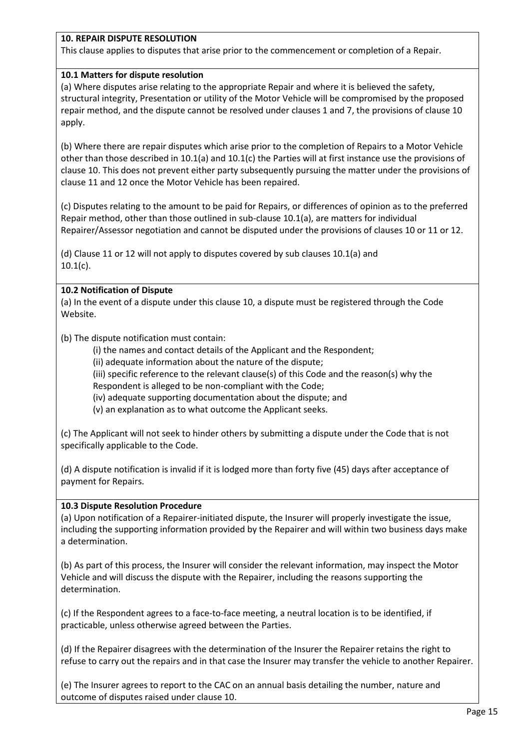## **10. REPAIR DISPUTE RESOLUTION**

This clause applies to disputes that arise prior to the commencement or completion of a Repair.

## **10.1 Matters for dispute resolution**

(a) Where disputes arise relating to the appropriate Repair and where it is believed the safety, structural integrity, Presentation or utility of the Motor Vehicle will be compromised by the proposed repair method, and the dispute cannot be resolved under clauses 1 and 7, the provisions of clause 10 apply.

(b) Where there are repair disputes which arise prior to the completion of Repairs to a Motor Vehicle other than those described in 10.1(a) and 10.1(c) the Parties will at first instance use the provisions of clause 10. This does not prevent either party subsequently pursuing the matter under the provisions of clause 11 and 12 once the Motor Vehicle has been repaired.

(c) Disputes relating to the amount to be paid for Repairs, or differences of opinion as to the preferred Repair method, other than those outlined in sub-clause 10.1(a), are matters for individual Repairer/Assessor negotiation and cannot be disputed under the provisions of clauses 10 or 11 or 12.

(d) Clause 11 or 12 will not apply to disputes covered by sub clauses 10.1(a) and  $10.1(c)$ .

#### **10.2 Notification of Dispute**

(a) In the event of a dispute under this clause 10, a dispute must be registered through the Code Website.

(b) The dispute notification must contain:

(i) the names and contact details of the Applicant and the Respondent;

(ii) adequate information about the nature of the dispute;

(iii) specific reference to the relevant clause(s) of this Code and the reason(s) why the

Respondent is alleged to be non-compliant with the Code;

(iv) adequate supporting documentation about the dispute; and

(v) an explanation as to what outcome the Applicant seeks.

(c) The Applicant will not seek to hinder others by submitting a dispute under the Code that is not specifically applicable to the Code.

(d) A dispute notification is invalid if it is lodged more than forty five (45) days after acceptance of payment for Repairs.

## **10.3 Dispute Resolution Procedure**

(a) Upon notification of a Repairer-initiated dispute, the Insurer will properly investigate the issue, including the supporting information provided by the Repairer and will within two business days make a determination.

(b) As part of this process, the Insurer will consider the relevant information, may inspect the Motor Vehicle and will discuss the dispute with the Repairer, including the reasons supporting the determination.

(c) If the Respondent agrees to a face-to-face meeting, a neutral location is to be identified, if practicable, unless otherwise agreed between the Parties.

(d) If the Repairer disagrees with the determination of the Insurer the Repairer retains the right to refuse to carry out the repairs and in that case the Insurer may transfer the vehicle to another Repairer.

(e) The Insurer agrees to report to the CAC on an annual basis detailing the number, nature and outcome of disputes raised under clause 10.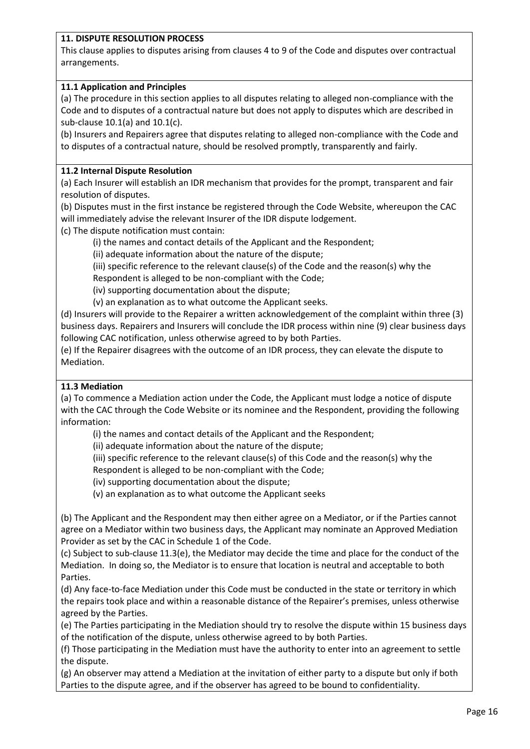## **11. DISPUTE RESOLUTION PROCESS**

This clause applies to disputes arising from clauses 4 to 9 of the Code and disputes over contractual arrangements.

## **11.1 Application and Principles**

(a) The procedure in this section applies to all disputes relating to alleged non-compliance with the Code and to disputes of a contractual nature but does not apply to disputes which are described in sub-clause 10.1(a) and 10.1(c).

(b) Insurers and Repairers agree that disputes relating to alleged non-compliance with the Code and to disputes of a contractual nature, should be resolved promptly, transparently and fairly.

#### **11.2 Internal Dispute Resolution**

(a) Each Insurer will establish an IDR mechanism that provides for the prompt, transparent and fair resolution of disputes.

(b) Disputes must in the first instance be registered through the Code Website, whereupon the CAC will immediately advise the relevant Insurer of the IDR dispute lodgement.

(c) The dispute notification must contain:

(i) the names and contact details of the Applicant and the Respondent;

(ii) adequate information about the nature of the dispute;

(iii) specific reference to the relevant clause(s) of the Code and the reason(s) why the

Respondent is alleged to be non-compliant with the Code;

(iv) supporting documentation about the dispute;

(v) an explanation as to what outcome the Applicant seeks.

(d) Insurers will provide to the Repairer a written acknowledgement of the complaint within three (3) business days. Repairers and Insurers will conclude the IDR process within nine (9) clear business days following CAC notification, unless otherwise agreed to by both Parties.

(e) If the Repairer disagrees with the outcome of an IDR process, they can elevate the dispute to Mediation.

#### **11.3 Mediation**

(a) To commence a Mediation action under the Code, the Applicant must lodge a notice of dispute with the CAC through the Code Website or its nominee and the Respondent, providing the following information:

(i) the names and contact details of the Applicant and the Respondent;

(ii) adequate information about the nature of the dispute;

(iii) specific reference to the relevant clause(s) of this Code and the reason(s) why the

Respondent is alleged to be non-compliant with the Code;

(iv) supporting documentation about the dispute;

(v) an explanation as to what outcome the Applicant seeks

(b) The Applicant and the Respondent may then either agree on a Mediator, or if the Parties cannot agree on a Mediator within two business days, the Applicant may nominate an Approved Mediation Provider as set by the CAC in Schedule 1 of the Code.

(c) Subject to sub-clause 11.3(e), the Mediator may decide the time and place for the conduct of the Mediation. In doing so, the Mediator is to ensure that location is neutral and acceptable to both Parties.

(d) Any face-to-face Mediation under this Code must be conducted in the state or territory in which the repairs took place and within a reasonable distance of the Repairer's premises, unless otherwise agreed by the Parties.

(e) The Parties participating in the Mediation should try to resolve the dispute within 15 business days of the notification of the dispute, unless otherwise agreed to by both Parties.

(f) Those participating in the Mediation must have the authority to enter into an agreement to settle the dispute.

(g) An observer may attend a Mediation at the invitation of either party to a dispute but only if both Parties to the dispute agree, and if the observer has agreed to be bound to confidentiality.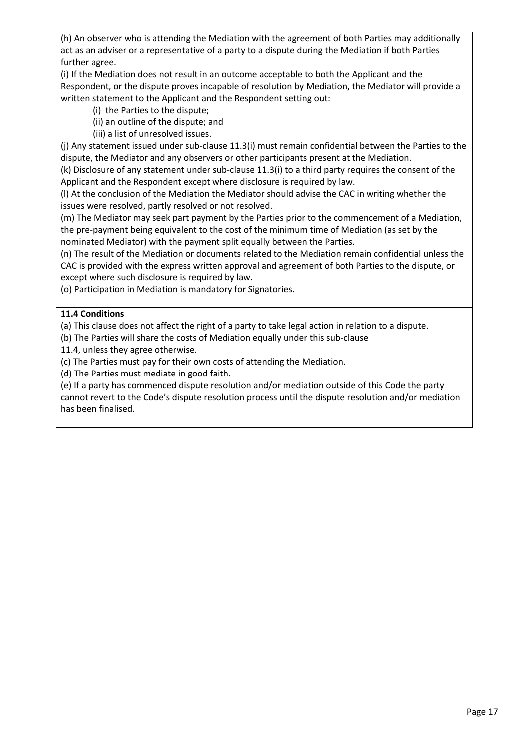(h) An observer who is attending the Mediation with the agreement of both Parties may additionally act as an adviser or a representative of a party to a dispute during the Mediation if both Parties further agree.

(i) If the Mediation does not result in an outcome acceptable to both the Applicant and the Respondent, or the dispute proves incapable of resolution by Mediation, the Mediator will provide a written statement to the Applicant and the Respondent setting out:

- (i) the Parties to the dispute;
- (ii) an outline of the dispute; and
- (iii) a list of unresolved issues.

(j) Any statement issued under sub-clause 11.3(i) must remain confidential between the Parties to the dispute, the Mediator and any observers or other participants present at the Mediation.

(k) Disclosure of any statement under sub-clause 11.3(i) to a third party requires the consent of the Applicant and the Respondent except where disclosure is required by law.

(l) At the conclusion of the Mediation the Mediator should advise the CAC in writing whether the issues were resolved, partly resolved or not resolved.

(m) The Mediator may seek part payment by the Parties prior to the commencement of a Mediation, the pre-payment being equivalent to the cost of the minimum time of Mediation (as set by the nominated Mediator) with the payment split equally between the Parties.

(n) The result of the Mediation or documents related to the Mediation remain confidential unless the CAC is provided with the express written approval and agreement of both Parties to the dispute, or except where such disclosure is required by law.

(o) Participation in Mediation is mandatory for Signatories.

## **11.4 Conditions**

(a) This clause does not affect the right of a party to take legal action in relation to a dispute.

(b) The Parties will share the costs of Mediation equally under this sub-clause

11.4, unless they agree otherwise.

(c) The Parties must pay for their own costs of attending the Mediation.

(d) The Parties must mediate in good faith.

(e) If a party has commenced dispute resolution and/or mediation outside of this Code the party cannot revert to the Code's dispute resolution process until the dispute resolution and/or mediation has been finalised.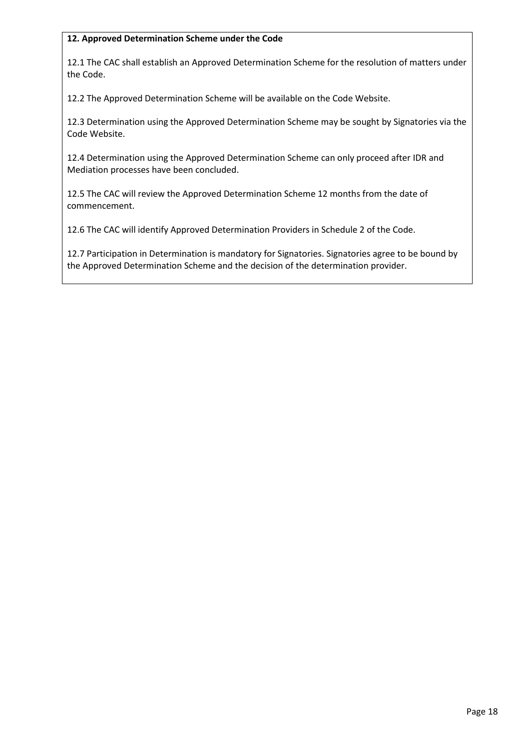## **12. Approved Determination Scheme under the Code**

12.1 The CAC shall establish an Approved Determination Scheme for the resolution of matters under the Code.

12.2 The Approved Determination Scheme will be available on the Code Website.

12.3 Determination using the Approved Determination Scheme may be sought by Signatories via the Code Website.

12.4 Determination using the Approved Determination Scheme can only proceed after IDR and Mediation processes have been concluded.

12.5 The CAC will review the Approved Determination Scheme 12 months from the date of commencement.

12.6 The CAC will identify Approved Determination Providers in Schedule 2 of the Code.

12.7 Participation in Determination is mandatory for Signatories. Signatories agree to be bound by the Approved Determination Scheme and the decision of the determination provider.